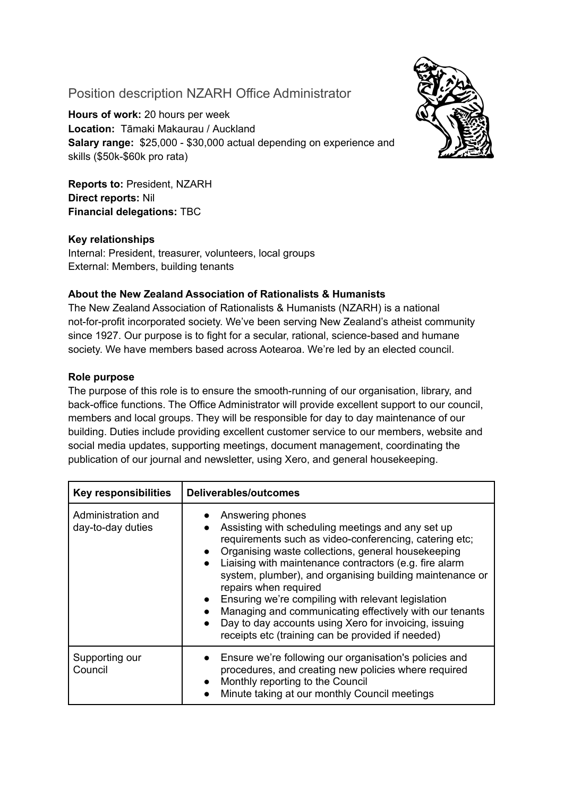# Position description NZARH Office Administrator

**Hours of work:** 20 hours per week **Location:** Tāmaki Makaurau / Auckland **Salary range:** \$25,000 - \$30,000 actual depending on experience and skills (\$50k-\$60k pro rata)

**Reports to:** President, NZARH **Direct reports:** Nil **Financial delegations:** TBC

## **Key relationships**

Internal: President, treasurer, volunteers, local groups External: Members, building tenants

### **About the New Zealand Association of Rationalists & Humanists**

The New Zealand Association of Rationalists & Humanists (NZARH) is a national not-for-profit incorporated society. We've been serving New Zealand's atheist community since 1927. Our purpose is to fight for a secular, rational, science-based and humane society. We have members based across Aotearoa. We're led by an elected council.

### **Role purpose**

The purpose of this role is to ensure the smooth-running of our organisation, library, and back-office functions. The Office Administrator will provide excellent support to our council, members and local groups. They will be responsible for day to day maintenance of our building. Duties include providing excellent customer service to our members, website and social media updates, supporting meetings, document management, coordinating the publication of our journal and newsletter, using Xero, and general housekeeping.

| <b>Key responsibilities</b>             | <b>Deliverables/outcomes</b>                                                                                                                                                                                                                                                                                                                                                                                                                                                                                                                                                                  |
|-----------------------------------------|-----------------------------------------------------------------------------------------------------------------------------------------------------------------------------------------------------------------------------------------------------------------------------------------------------------------------------------------------------------------------------------------------------------------------------------------------------------------------------------------------------------------------------------------------------------------------------------------------|
| Administration and<br>day-to-day duties | Answering phones<br>Assisting with scheduling meetings and any set up<br>requirements such as video-conferencing, catering etc;<br>Organising waste collections, general housekeeping<br>$\bullet$<br>Liaising with maintenance contractors (e.g. fire alarm<br>$\bullet$<br>system, plumber), and organising building maintenance or<br>repairs when required<br>Ensuring we're compiling with relevant legislation<br>Managing and communicating effectively with our tenants<br>Day to day accounts using Xero for invoicing, issuing<br>receipts etc (training can be provided if needed) |
| Supporting our<br>Council               | Ensure we're following our organisation's policies and<br>procedures, and creating new policies where required<br>Monthly reporting to the Council<br>$\bullet$<br>Minute taking at our monthly Council meetings<br>$\bullet$                                                                                                                                                                                                                                                                                                                                                                 |